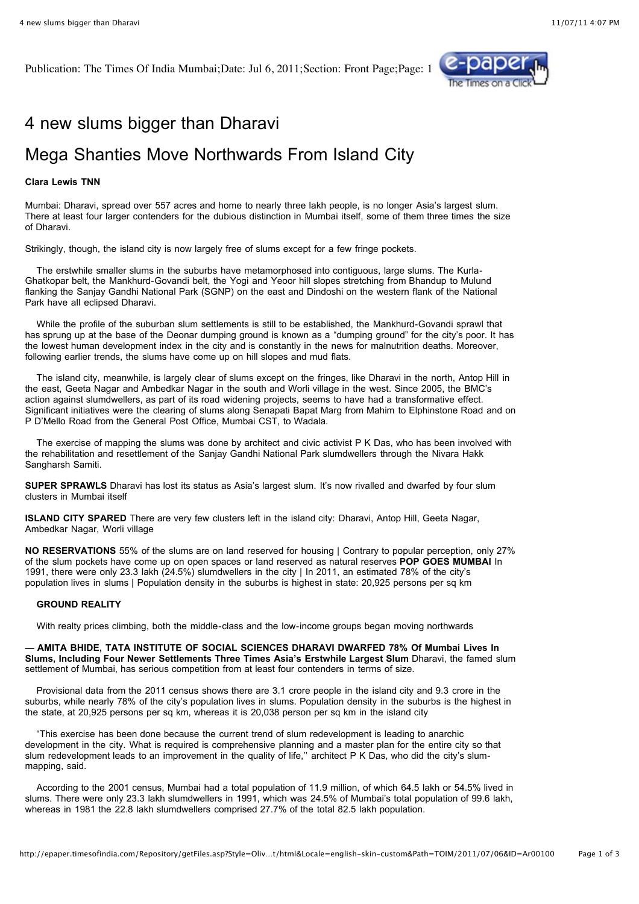Publication: The Times Of India Mumbai;Date: Jul 6, 2011;Section: Front Page;Page: 1



## 4 new slums bigger than Dharavi

## Mega Shanties Move Northwards From Island City

## **Clara Lewis TNN**

Mumbai: Dharavi, spread over 557 acres and home to nearly three lakh people, is no longer Asia's largest slum. There at least four larger contenders for the dubious distinction in Mumbai itself, some of them three times the size of Dharavi.

Strikingly, though, the island city is now largely free of slums except for a few fringe pockets.

 The erstwhile smaller slums in the suburbs have metamorphosed into contiguous, large slums. The Kurla-Ghatkopar belt, the Mankhurd-Govandi belt, the Yogi and Yeoor hill slopes stretching from Bhandup to Mulund flanking the Sanjay Gandhi National Park (SGNP) on the east and Dindoshi on the western flank of the National Park have all eclipsed Dharavi.

 While the profile of the suburban slum settlements is still to be established, the Mankhurd-Govandi sprawl that has sprung up at the base of the Deonar dumping ground is known as a "dumping ground" for the city's poor. It has the lowest human development index in the city and is constantly in the news for malnutrition deaths. Moreover, following earlier trends, the slums have come up on hill slopes and mud flats.

 The island city, meanwhile, is largely clear of slums except on the fringes, like Dharavi in the north, Antop Hill in the east, Geeta Nagar and Ambedkar Nagar in the south and Worli village in the west. Since 2005, the BMC's action against slumdwellers, as part of its road widening projects, seems to have had a transformative effect. Significant initiatives were the clearing of slums along Senapati Bapat Marg from Mahim to Elphinstone Road and on P D'Mello Road from the General Post Office, Mumbai CST, to Wadala.

 The exercise of mapping the slums was done by architect and civic activist P K Das, who has been involved with the rehabilitation and resettlement of the Sanjay Gandhi National Park slumdwellers through the Nivara Hakk Sangharsh Samiti.

**SUPER SPRAWLS** Dharavi has lost its status as Asia's largest slum. It's now rivalled and dwarfed by four slum clusters in Mumbai itself

**ISLAND CITY SPARED** There are very few clusters left in the island city: Dharavi, Antop Hill, Geeta Nagar, Ambedkar Nagar, Worli village

**NO RESERVATIONS** 55% of the slums are on land reserved for housing | Contrary to popular perception, only 27% of the slum pockets have come up on open spaces or land reserved as natural reserves **POP GOES MUMBAI** In 1991, there were only 23.3 lakh (24.5%) slumdwellers in the city | In 2011, an estimated 78% of the city's population lives in slums | Population density in the suburbs is highest in state: 20,925 persons per sq km

## **GROUND REALITY**

With realty prices climbing, both the middle-class and the low-income groups began moving northwards

**— AMITA BHIDE, TATA INSTITUTE OF SOCIAL SCIENCES DHARAVI DWARFED 78% Of Mumbai Lives In Slums, Including Four Newer Settlements Three Times Asia's Erstwhile Largest Slum** Dharavi, the famed slum settlement of Mumbai, has serious competition from at least four contenders in terms of size.

 Provisional data from the 2011 census shows there are 3.1 crore people in the island city and 9.3 crore in the suburbs, while nearly 78% of the city's population lives in slums. Population density in the suburbs is the highest in the state, at 20,925 persons per sq km, whereas it is 20,038 person per sq km in the island city

 "This exercise has been done because the current trend of slum redevelopment is leading to anarchic development in the city. What is required is comprehensive planning and a master plan for the entire city so that slum redevelopment leads to an improvement in the quality of life,'' architect P K Das, who did the city's slummapping, said.

 According to the 2001 census, Mumbai had a total population of 11.9 million, of which 64.5 lakh or 54.5% lived in slums. There were only 23.3 lakh slumdwellers in 1991, which was 24.5% of Mumbai's total population of 99.6 lakh, whereas in 1981 the 22.8 lakh slumdwellers comprised 27.7% of the total 82.5 lakh population.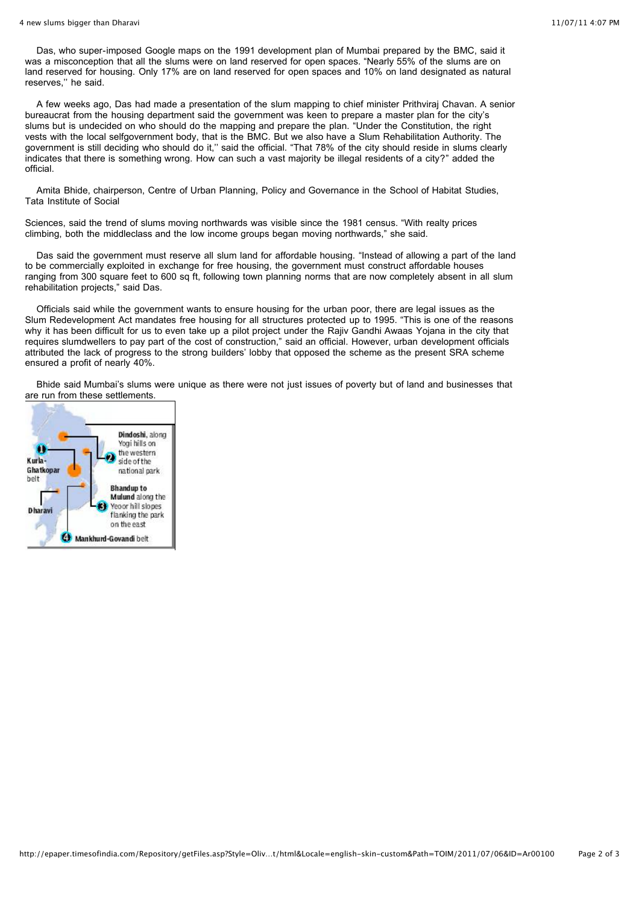Das, who super-imposed Google maps on the 1991 development plan of Mumbai prepared by the BMC, said it was a misconception that all the slums were on land reserved for open spaces. "Nearly 55% of the slums are on land reserved for housing. Only 17% are on land reserved for open spaces and 10% on land designated as natural reserves,'' he said.

 A few weeks ago, Das had made a presentation of the slum mapping to chief minister Prithviraj Chavan. A senior bureaucrat from the housing department said the government was keen to prepare a master plan for the city's slums but is undecided on who should do the mapping and prepare the plan. "Under the Constitution, the right vests with the local selfgovernment body, that is the BMC. But we also have a Slum Rehabilitation Authority. The government is still deciding who should do it,'' said the official. "That 78% of the city should reside in slums clearly indicates that there is something wrong. How can such a vast majority be illegal residents of a city?" added the official.

 Amita Bhide, chairperson, Centre of Urban Planning, Policy and Governance in the School of Habitat Studies, Tata Institute of Social

Sciences, said the trend of slums moving northwards was visible since the 1981 census. "With realty prices climbing, both the middleclass and the low income groups began moving northwards," she said.

 Das said the government must reserve all slum land for affordable housing. "Instead of allowing a part of the land to be commercially exploited in exchange for free housing, the government must construct affordable houses ranging from 300 square feet to 600 sq ft, following town planning norms that are now completely absent in all slum rehabilitation projects," said Das.

 Officials said while the government wants to ensure housing for the urban poor, there are legal issues as the Slum Redevelopment Act mandates free housing for all structures protected up to 1995. "This is one of the reasons why it has been difficult for us to even take up a pilot project under the Rajiv Gandhi Awaas Yojana in the city that requires slumdwellers to pay part of the cost of construction," said an official. However, urban development officials attributed the lack of progress to the strong builders' lobby that opposed the scheme as the present SRA scheme ensured a profit of nearly 40%.

 Bhide said Mumbai's slums were unique as there were not just issues of poverty but of land and businesses that are run from these settlements.